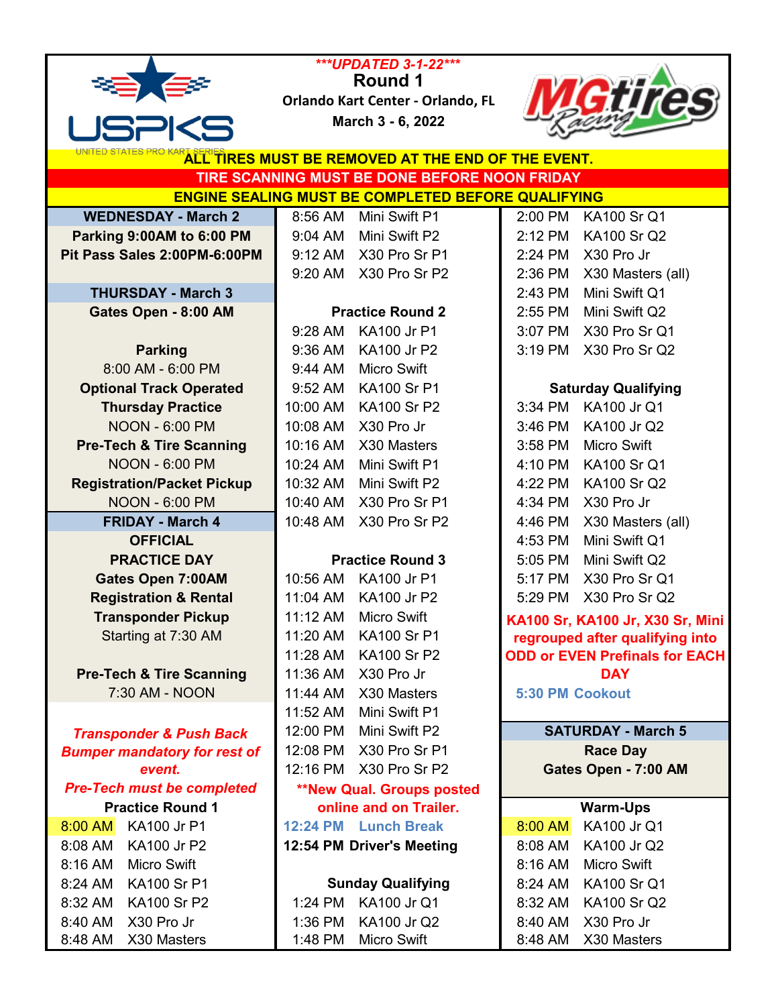